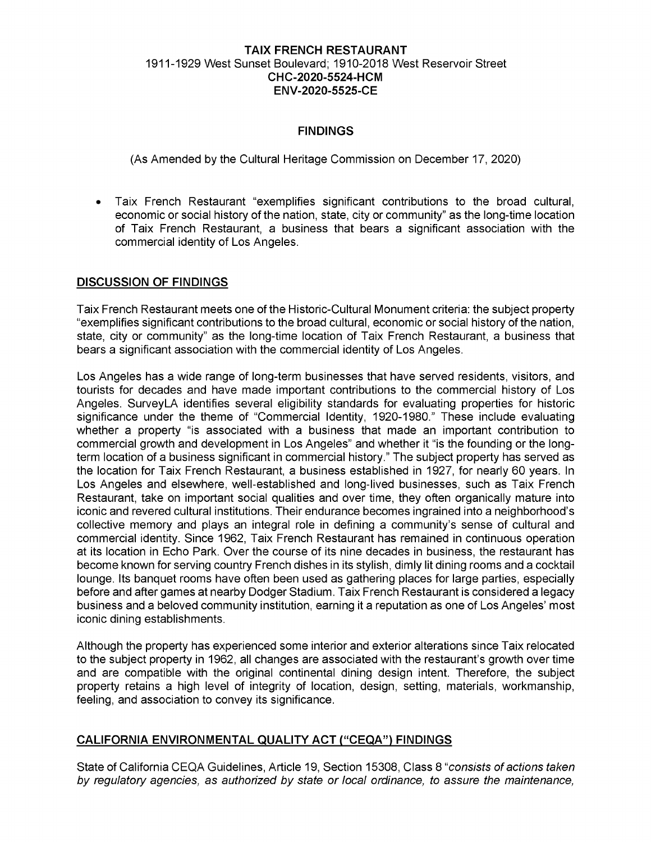### **TAIX FRENCH RESTAURANT** 1911-1929 West Sunset Boulevard; 1910-2018 West Reservoir Street **CHC-2020-5524-HCM ENV-2020-5525-CE**

# **FINDINGS**

(As Amended by the Cultural Heritage Commission on December 17, 2020)

• Taix French Restaurant "exemplifies significant contributions to the broad cultural, economic or social history of the nation, state, city or community" as the long-time location of Taix French Restaurant, a business that bears a significant association with the commercial identity of Los Angeles.

### **DISCUSSION OF FINDINGS**

Taix French Restaurant meets one of the Historic-Cultural Monument criteria: the subject property "exemplifies significant contributions to the broad cultural, economic or social history of the nation, state, city or community" as the long-time location of Taix French Restaurant, a business that bears a significant association with the commercial identity of Los Angeles.

Los Angeles has a wide range of long-term businesses that have served residents, visitors, and tourists for decades and have made important contributions to the commercial history of Los Angeles. SurveyLA identifies several eligibility standards for evaluating properties for historic significance under the theme of "Commercial Identity, 1920-1980." These include evaluating whether a property "is associated with a business that made an important contribution to commercial growth and development in Los Angeles" and whether it "is the founding or the longterm location of a business significant in commercial history." The subject property has served as the location for Taix French Restaurant, a business established in 1927, for nearly 60 years. In Los Angeles and elsewhere, well-established and long-lived businesses, such as Taix French Restaurant, take on important social qualities and over time, they often organically mature into iconic and revered cultural institutions. Their endurance becomes ingrained into a neighborhood's collective memory and plays an integral role in defining a community's sense of cultural and commercial identity. Since 1962, Taix French Restaurant has remained in continuous operation at its location in Echo Park. Over the course of its nine decades in business, the restaurant has become known for serving country French dishes in its stylish, dimly lit dining rooms and a cocktail lounge. Its banquet rooms have often been used as gathering places for large parties, especially before and after games at nearby Dodger Stadium. Taix French Restaurant is considered a legacy business and a beloved community institution, earning it a reputation as one of Los Angeles' most iconic dining establishments.

Although the property has experienced some interior and exterior alterations since Taix relocated to the subject property in 1962, all changes are associated with the restaurant's growth over time and are compatible with the original continental dining design intent. Therefore, the subject property retains a high level of integrity of location, design, setting, materials, workmanship, feeling, and association to convey its significance.

## **CALIFORNIA ENVIRONMENTAL QUALITY ACT ("CEQA") FINDINGS**

State of California CEQA Guidelines, Article 19, Section 15308, Class 8 *"consists ofactions taken by regulatory agencies, as authorized by state or local ordinance, to assure the maintenance,*